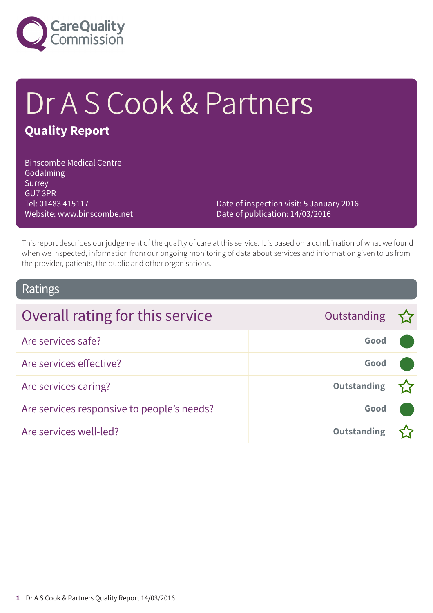

# Dr A S Cook & Partners

### **Quality Report**

Binscombe Medical Centre Godalming Surrey GU7 3PR Tel: 01483 415117 Website: www.binscombe.net

Date of inspection visit: 5 January 2016 Date of publication: 14/03/2016

This report describes our judgement of the quality of care at this service. It is based on a combination of what we found when we inspected, information from our ongoing monitoring of data about services and information given to us from the provider, patients, the public and other organisations.

### Ratings

| Overall rating for this service            | Outstanding $\sum$ |  |
|--------------------------------------------|--------------------|--|
| Are services safe?                         | Good               |  |
| Are services effective?                    | Good               |  |
| Are services caring?                       | <b>Outstanding</b> |  |
| Are services responsive to people's needs? | Good               |  |
| Are services well-led?                     | <b>Outstanding</b> |  |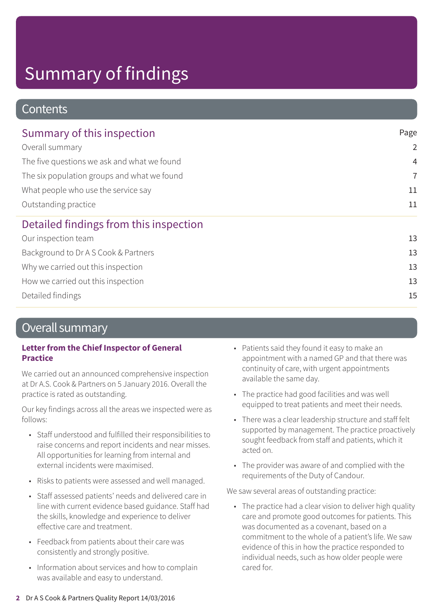### **Contents**

| Summary of this inspection                  | Page           |  |
|---------------------------------------------|----------------|--|
| Overall summary                             | $\overline{2}$ |  |
| The five questions we ask and what we found | $\overline{4}$ |  |
| The six population groups and what we found | $\overline{7}$ |  |
| What people who use the service say         | 11             |  |
| Outstanding practice                        | 11             |  |
| Detailed findings from this inspection      |                |  |
| Our inspection team                         | 13             |  |
| Background to Dr A S Cook & Partners        | 13             |  |
| Why we carried out this inspection          | 13             |  |
| How we carried out this inspection          | 13             |  |
| Detailed findings                           |                |  |

### Overall summary

#### **Letter from the Chief Inspector of General Practice**

We carried out an announced comprehensive inspection at Dr A.S. Cook & Partners on 5 January 2016. Overall the practice is rated as outstanding.

Our key findings across all the areas we inspected were as follows:

- Staff understood and fulfilled their responsibilities to raise concerns and report incidents and near misses. All opportunities for learning from internal and external incidents were maximised.
- Risks to patients were assessed and well managed.
- Staff assessed patients' needs and delivered care in line with current evidence based guidance. Staff had the skills, knowledge and experience to deliver effective care and treatment.
- Feedback from patients about their care was consistently and strongly positive.
- Information about services and how to complain was available and easy to understand.
- Patients said they found it easy to make an appointment with a named GP and that there was continuity of care, with urgent appointments available the same day.
- The practice had good facilities and was well equipped to treat patients and meet their needs.
- There was a clear leadership structure and staff felt supported by management. The practice proactively sought feedback from staff and patients, which it acted on.
- The provider was aware of and complied with the requirements of the Duty of Candour.

We saw several areas of outstanding practice:

• The practice had a clear vision to deliver high quality care and promote good outcomes for patients. This was documented as a covenant, based on a commitment to the whole of a patient's life. We saw evidence of this in how the practice responded to individual needs, such as how older people were cared for.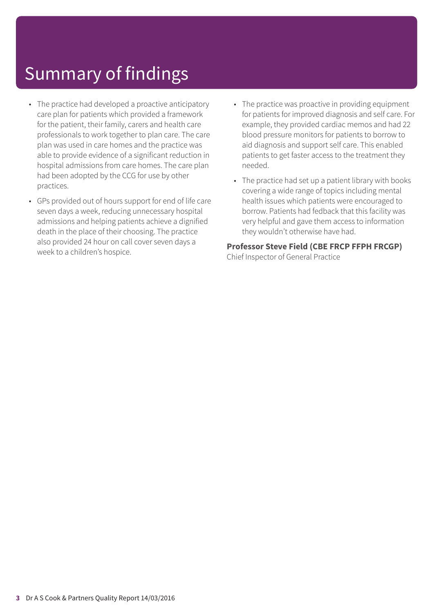- The practice had developed a proactive anticipatory care plan for patients which provided a framework for the patient, their family, carers and health care professionals to work together to plan care. The care plan was used in care homes and the practice was able to provide evidence of a significant reduction in hospital admissions from care homes. The care plan had been adopted by the CCG for use by other practices.
- GPs provided out of hours support for end of life care seven days a week, reducing unnecessary hospital admissions and helping patients achieve a dignified death in the place of their choosing. The practice also provided 24 hour on call cover seven days a week to a children's hospice.
- The practice was proactive in providing equipment for patients for improved diagnosis and self care. For example, they provided cardiac memos and had 22 blood pressure monitors for patients to borrow to aid diagnosis and support self care. This enabled patients to get faster access to the treatment they needed.
- The practice had set up a patient library with books covering a wide range of topics including mental health issues which patients were encouraged to borrow. Patients had fedback that this facility was very helpful and gave them access to information they wouldn't otherwise have had.

### **Professor Steve Field (CBE FRCP FFPH FRCGP)**

Chief Inspector of General Practice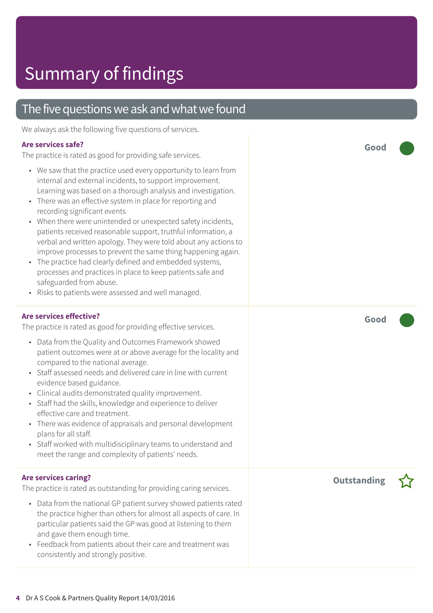### The five questions we ask and what we found

We always ask the following five questions of services.

#### **Are services safe?**

The practice is rated as good for providing safe services.

- We saw that the practice used every opportunity to learn from internal and external incidents, to support improvement. Learning was based on a thorough analysis and investigation.
- There was an effective system in place for reporting and recording significant events
- When there were unintended or unexpected safety incidents, patients received reasonable support, truthful information, a verbal and written apology. They were told about any actions to improve processes to prevent the same thing happening again.
- The practice had clearly defined and embedded systems, processes and practices in place to keep patients safe and safeguarded from abuse.
- Risks to patients were assessed and well managed.

#### **Are services effective?**

The practice is rated as good for providing effective services.

- Data from the Quality and Outcomes Framework showed patient outcomes were at or above average for the locality and compared to the national average.
- Staff assessed needs and delivered care in line with current evidence based guidance.
- Clinical audits demonstrated quality improvement.
- Staff had the skills, knowledge and experience to deliver effective care and treatment.
- There was evidence of appraisals and personal development plans for all staff.
- Staff worked with multidisciplinary teams to understand and meet the range and complexity of patients' needs.

#### **Are services caring?**

The practice is rated as outstanding for providing caring services.

- Data from the national GP patient survey showed patients rated the practice higher than others for almost all aspects of care. In particular patients said the GP was good at listening to them and gave them enough time.
- Feedback from patients about their care and treatment was consistently and strongly positive.

**Good –––**

**Good –––**

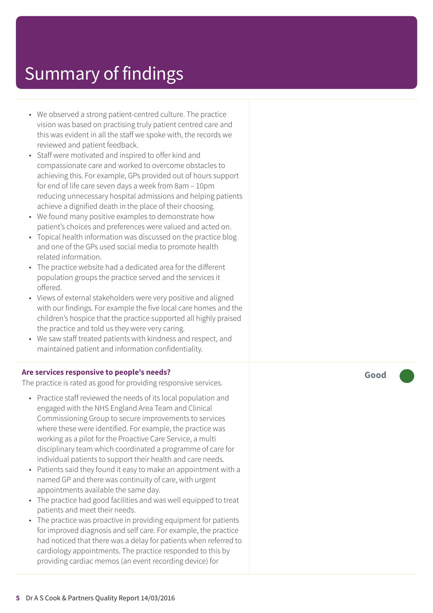- We observed a strong patient-centred culture. The practice vision was based on practising truly patient centred care and this was evident in all the staff we spoke with, the records we reviewed and patient feedback.
- Staff were motivated and inspired to offer kind and compassionate care and worked to overcome obstacles to achieving this. For example, GPs provided out of hours support for end of life care seven days a week from 8am – 10pm reducing unnecessary hospital admissions and helping patients achieve a dignified death in the place of their choosing.
- We found many positive examples to demonstrate how patient's choices and preferences were valued and acted on.
- Topical health information was discussed on the practice blog and one of the GPs used social media to promote health related information.
- The practice website had a dedicated area for the different population groups the practice served and the services it offered.
- Views of external stakeholders were very positive and aligned with our findings. For example the five local care homes and the children's hospice that the practice supported all highly praised the practice and told us they were very caring.
- We saw staff treated patients with kindness and respect, and maintained patient and information confidentiality.

#### **Are services responsive to people's needs?**

The practice is rated as good for providing responsive services.

- Practice staff reviewed the needs of its local population and engaged with the NHS England Area Team and Clinical Commissioning Group to secure improvements to services where these were identified. For example, the practice was working as a pilot for the Proactive Care Service, a multi disciplinary team which coordinated a programme of care for individual patients to support their health and care needs.
- Patients said they found it easy to make an appointment with a named GP and there was continuity of care, with urgent appointments available the same day.
- The practice had good facilities and was well equipped to treat patients and meet their needs.
- The practice was proactive in providing equipment for patients for improved diagnosis and self care. For example, the practice had noticed that there was a delay for patients when referred to cardiology appointments. The practice responded to this by providing cardiac memos (an event recording device) for

**Good –––**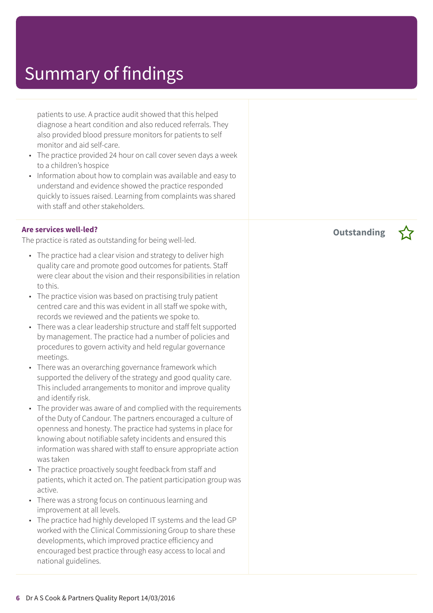patients to use. A practice audit showed that this helped diagnose a heart condition and also reduced referrals. They also provided blood pressure monitors for patients to self monitor and aid self-care.

- The practice provided 24 hour on call cover seven days a week to a children's hospice
- Information about how to complain was available and easy to understand and evidence showed the practice responded quickly to issues raised. Learning from complaints was shared with staff and other stakeholders.

#### **Are services well-led?**

The practice is rated as outstanding for being well-led.

- The practice had a clear vision and strategy to deliver high quality care and promote good outcomes for patients. Staff were clear about the vision and their responsibilities in relation to this.
- The practice vision was based on practising truly patient centred care and this was evident in all staff we spoke with, records we reviewed and the patients we spoke to.
- There was a clear leadership structure and staff felt supported by management. The practice had a number of policies and procedures to govern activity and held regular governance meetings.
- There was an overarching governance framework which supported the delivery of the strategy and good quality care. This included arrangements to monitor and improve quality and identify risk.
- The provider was aware of and complied with the requirements of the Duty of Candour. The partners encouraged a culture of openness and honesty. The practice had systems in place for knowing about notifiable safety incidents and ensured this information was shared with staff to ensure appropriate action was taken
- The practice proactively sought feedback from staff and patients, which it acted on. The patient participation group was active.
- There was a strong focus on continuous learning and improvement at all levels.
- The practice had highly developed IT systems and the lead GP worked with the Clinical Commissioning Group to share these developments, which improved practice efficiency and encouraged best practice through easy access to local and national guidelines.

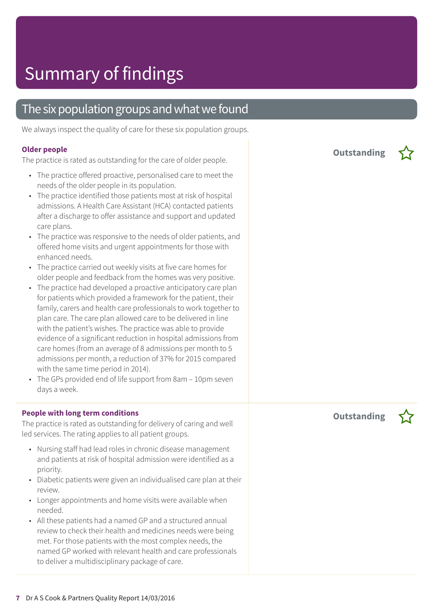### The six population groups and what we found

We always inspect the quality of care for these six population groups.

#### **Older people**

The practice is rated as outstanding for the care of older people.

- The practice offered proactive, personalised care to meet the needs of the older people in its population.
- The practice identified those patients most at risk of hospital admissions. A Health Care Assistant (HCA) contacted patients after a discharge to offer assistance and support and updated care plans.
- The practice was responsive to the needs of older patients, and offered home visits and urgent appointments for those with enhanced needs.
- The practice carried out weekly visits at five care homes for older people and feedback from the homes was very positive.
- The practice had developed a proactive anticipatory care plan for patients which provided a framework for the patient, their family, carers and health care professionals to work together to plan care. The care plan allowed care to be delivered in line with the patient's wishes. The practice was able to provide evidence of a significant reduction in hospital admissions from care homes (from an average of 8 admissions per month to 5 admissions per month, a reduction of 37% for 2015 compared with the same time period in 2014).
- The GPs provided end of life support from 8am 10pm seven days a week.

#### **People with long term conditions**

The practice is rated as outstanding for delivery of caring and well led services. The rating applies to all patient groups.

- Nursing staff had lead roles in chronic disease management and patients at risk of hospital admission were identified as a priority.
- Diabetic patients were given an individualised care plan at their review.
- Longer appointments and home visits were available when needed.
- All these patients had a named GP and a structured annual review to check their health and medicines needs were being met. For those patients with the most complex needs, the named GP worked with relevant health and care professionals to deliver a multidisciplinary package of care.

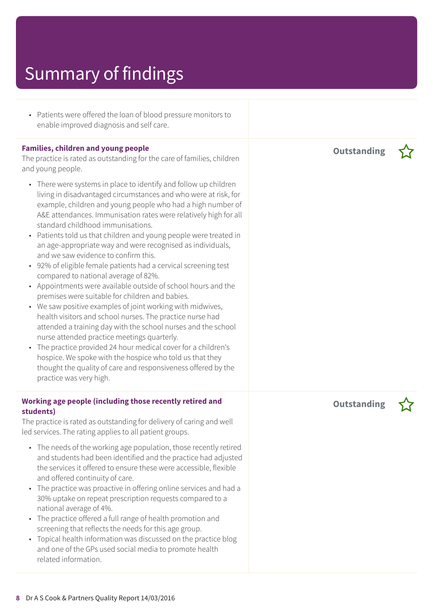• Patients were offered the loan of blood pressure monitors to enable improved diagnosis and self care.

#### **Families, children and young people**

The practice is rated as outstanding for the care of families, children and young people.

- There were systems in place to identify and follow up children living in disadvantaged circumstances and who were at risk, for example, children and young people who had a high number of A&E attendances. Immunisation rates were relatively high for all standard childhood immunisations.
- Patients told us that children and young people were treated in an age-appropriate way and were recognised as individuals, and we saw evidence to confirm this.
- 92% of eligible female patients had a cervical screening test compared to national average of 82%.
- Appointments were available outside of school hours and the premises were suitable for children and babies.
- We saw positive examples of joint working with midwives, health visitors and school nurses. The practice nurse had attended a training day with the school nurses and the school nurse attended practice meetings quarterly.
- The practice provided 24 hour medical cover for a children's hospice. We spoke with the hospice who told us that they thought the quality of care and responsiveness offered by the practice was very high.

#### **Working age people (including those recently retired and students)**

The practice is rated as outstanding for delivery of caring and well led services. The rating applies to all patient groups.

- The needs of the working age population, those recently retired and students had been identified and the practice had adjusted the services it offered to ensure these were accessible, flexible and offered continuity of care.
- The practice was proactive in offering online services and had a 30% uptake on repeat prescription requests compared to a national average of 4%.
- The practice offered a full range of health promotion and screening that reflects the needs for this age group.
- Topical health information was discussed on the practice blog and one of the GPs used social media to promote health related information.

**Outstanding –**



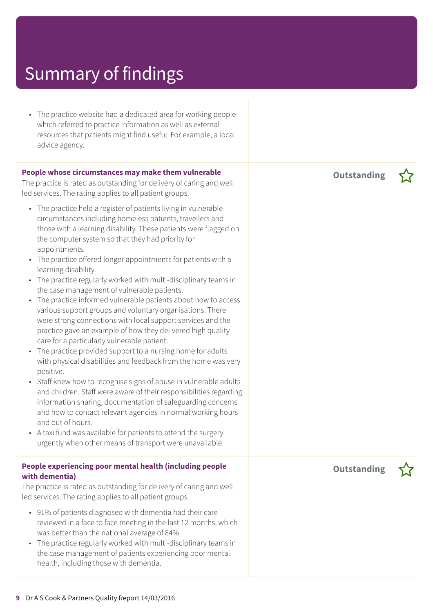• The practice website had a dedicated area for working people which referred to practice information as well as external resources that patients might find useful. For example, a local advice agency.

#### **People whose circumstances may make them vulnerable**

The practice is rated as outstanding for delivery of caring and well led services. The rating applies to all patient groups.

- The practice held a register of patients living in vulnerable circumstances including homeless patients, travellers and those with a learning disability. These patients were flagged on the computer system so that they had priority for appointments.
- The practice offered longer appointments for patients with a learning disability.
- The practice regularly worked with multi-disciplinary teams in the case management of vulnerable patients.
- The practice informed vulnerable patients about how to access various support groups and voluntary organisations. There were strong connections with local support services and the practice gave an example of how they delivered high quality care for a particularly vulnerable patient.
- The practice provided support to a nursing home for adults with physical disabilities and feedback from the home was very positive.
- Staff knew how to recognise signs of abuse in vulnerable adults and children. Staff were aware of their responsibilities regarding information sharing, documentation of safeguarding concerns and how to contact relevant agencies in normal working hours and out of hours.
- A taxi fund was available for patients to attend the surgery urgently when other means of transport were unavailable.

#### **People experiencing poor mental health (including people with dementia)**

The practice is rated as outstanding for delivery of caring and well led services. The rating applies to all patient groups.

- 91% of patients diagnosed with dementia had their care reviewed in a face to face meeting in the last 12 months, which was better than the national average of 84%.
- The practice regularly worked with multi-disciplinary teams in the case management of patients experiencing poor mental health, including those with dementia.

**Outstanding –**

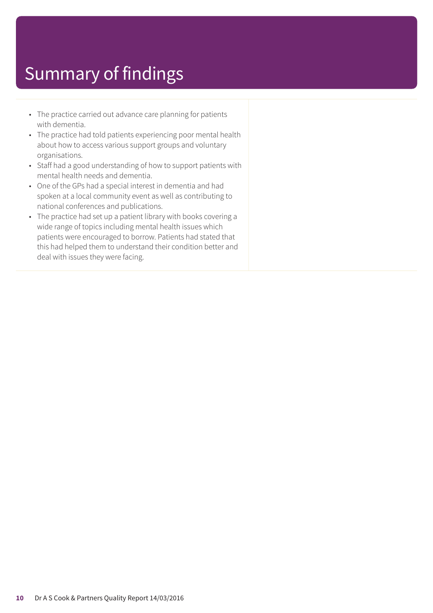- The practice carried out advance care planning for patients with dementia.
- The practice had told patients experiencing poor mental health about how to access various support groups and voluntary organisations.
- Staff had a good understanding of how to support patients with mental health needs and dementia.
- One of the GPs had a special interest in dementia and had spoken at a local community event as well as contributing to national conferences and publications.
- The practice had set up a patient library with books covering a wide range of topics including mental health issues which patients were encouraged to borrow. Patients had stated that this had helped them to understand their condition better and deal with issues they were facing.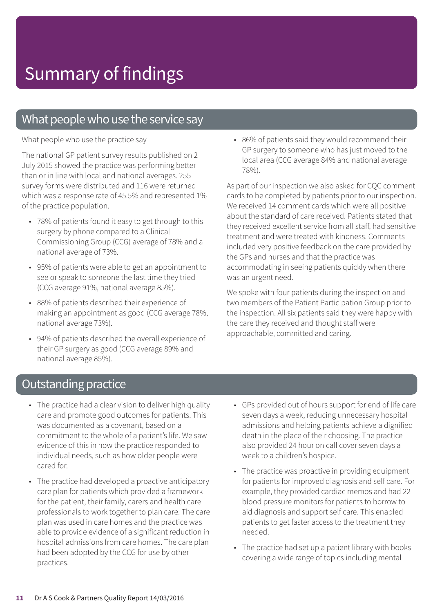### What people who use the service say

What people who use the practice say

The national GP patient survey results published on 2 July 2015 showed the practice was performing better than or in line with local and national averages. 255 survey forms were distributed and 116 were returned which was a response rate of 45.5% and represented 1% of the practice population.

- 78% of patients found it easy to get through to this surgery by phone compared to a Clinical Commissioning Group (CCG) average of 78% and a national average of 73%.
- 95% of patients were able to get an appointment to see or speak to someone the last time they tried (CCG average 91%, national average 85%).
- 88% of patients described their experience of making an appointment as good (CCG average 78%, national average 73%).
- 94% of patients described the overall experience of their GP surgery as good (CCG average 89% and national average 85%).

• 86% of patients said they would recommend their GP surgery to someone who has just moved to the local area (CCG average 84% and national average 78%).

As part of our inspection we also asked for CQC comment cards to be completed by patients prior to our inspection. We received 14 comment cards which were all positive about the standard of care received. Patients stated that they received excellent service from all staff, had sensitive treatment and were treated with kindness. Comments included very positive feedback on the care provided by the GPs and nurses and that the practice was accommodating in seeing patients quickly when there was an urgent need.

We spoke with four patients during the inspection and two members of the Patient Participation Group prior to the inspection. All six patients said they were happy with the care they received and thought staff were approachable, committed and caring.

### **Outstanding practice**

- The practice had a clear vision to deliver high quality care and promote good outcomes for patients. This was documented as a covenant, based on a commitment to the whole of a patient's life. We saw evidence of this in how the practice responded to individual needs, such as how older people were cared for.
- The practice had developed a proactive anticipatory care plan for patients which provided a framework for the patient, their family, carers and health care professionals to work together to plan care. The care plan was used in care homes and the practice was able to provide evidence of a significant reduction in hospital admissions from care homes. The care plan had been adopted by the CCG for use by other practices.
- GPs provided out of hours support for end of life care seven days a week, reducing unnecessary hospital admissions and helping patients achieve a dignified death in the place of their choosing. The practice also provided 24 hour on call cover seven days a week to a children's hospice.
- The practice was proactive in providing equipment for patients for improved diagnosis and self care. For example, they provided cardiac memos and had 22 blood pressure monitors for patients to borrow to aid diagnosis and support self care. This enabled patients to get faster access to the treatment they needed.
- The practice had set up a patient library with books covering a wide range of topics including mental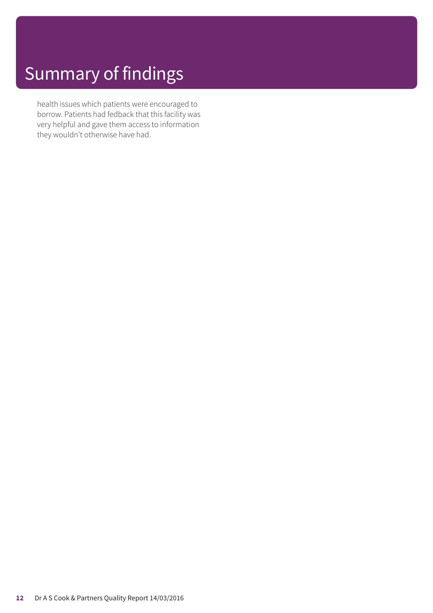health issues which patients were encouraged to borrow. Patients had fedback that this facility was very helpful and gave them access to information they wouldn't otherwise have had.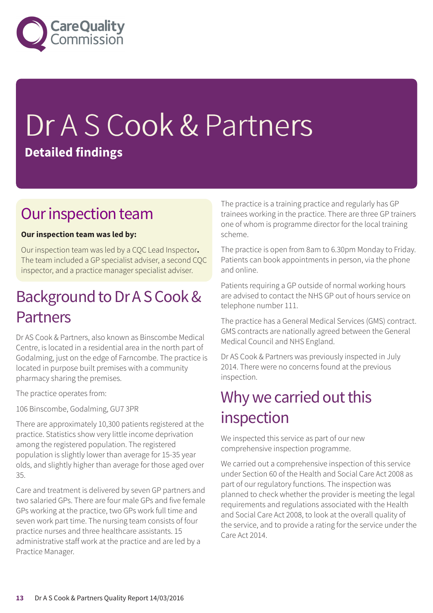

# Dr A S Cook & Partners **Detailed findings**

### Our inspection team

#### **Our inspection team was led by:**

Our inspection team was led by a CQC Lead Inspector**.** The team included a GP specialist adviser, a second CQC inspector, and a practice manager specialist adviser.

### Background to Dr A S Cook & Partners

Dr AS Cook & Partners, also known as Binscombe Medical Centre, is located in a residential area in the north part of Godalming, just on the edge of Farncombe. The practice is located in purpose built premises with a community pharmacy sharing the premises.

The practice operates from:

106 Binscombe, Godalming, GU7 3PR

There are approximately 10,300 patients registered at the practice. Statistics show very little income deprivation among the registered population. The registered population is slightly lower than average for 15-35 year olds, and slightly higher than average for those aged over 35.

Care and treatment is delivered by seven GP partners and two salaried GPs. There are four male GPs and five female GPs working at the practice, two GPs work full time and seven work part time. The nursing team consists of four practice nurses and three healthcare assistants. 15 administrative staff work at the practice and are led by a Practice Manager.

The practice is a training practice and regularly has GP trainees working in the practice. There are three GP trainers one of whom is programme director for the local training scheme.

The practice is open from 8am to 6.30pm Monday to Friday. Patients can book appointments in person, via the phone and online.

Patients requiring a GP outside of normal working hours are advised to contact the NHS GP out of hours service on telephone number 111.

The practice has a General Medical Services (GMS) contract. GMS contracts are nationally agreed between the General Medical Council and NHS England.

Dr AS Cook & Partners was previously inspected in July 2014. There were no concerns found at the previous inspection.

### Why we carried out this inspection

We inspected this service as part of our new comprehensive inspection programme.

We carried out a comprehensive inspection of this service under Section 60 of the Health and Social Care Act 2008 as part of our regulatory functions. The inspection was planned to check whether the provider is meeting the legal requirements and regulations associated with the Health and Social Care Act 2008, to look at the overall quality of the service, and to provide a rating for the service under the Care Act 2014.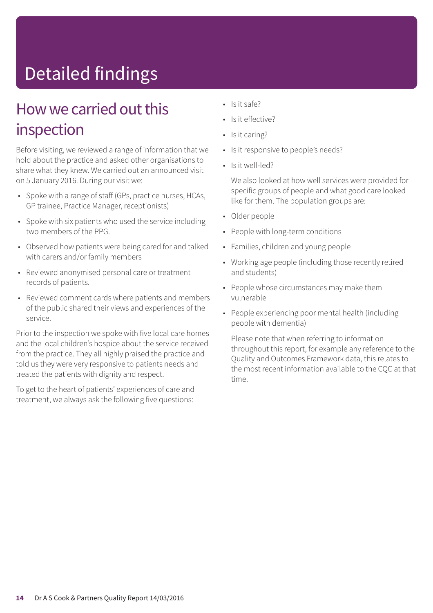# Detailed findings

### How we carried out this inspection

Before visiting, we reviewed a range of information that we hold about the practice and asked other organisations to share what they knew. We carried out an announced visit on 5 January 2016. During our visit we:

- Spoke with a range of staff (GPs, practice nurses, HCAs, GP trainee, Practice Manager, receptionists)
- Spoke with six patients who used the service including two members of the PPG.
- Observed how patients were being cared for and talked with carers and/or family members
- Reviewed anonymised personal care or treatment records of patients.
- Reviewed comment cards where patients and members of the public shared their views and experiences of the service.

Prior to the inspection we spoke with five local care homes and the local children's hospice about the service received from the practice. They all highly praised the practice and told us they were very responsive to patients needs and treated the patients with dignity and respect.

To get to the heart of patients' experiences of care and treatment, we always ask the following five questions:

- Is it safe?
- Is it effective?
- Is it caring?
- Is it responsive to people's needs?
- Is it well-led?

We also looked at how well services were provided for specific groups of people and what good care looked like for them. The population groups are:

- Older people
- People with long-term conditions
- Families, children and young people
- Working age people (including those recently retired and students)
- People whose circumstances may make them vulnerable
- People experiencing poor mental health (including people with dementia)

Please note that when referring to information throughout this report, for example any reference to the Quality and Outcomes Framework data, this relates to the most recent information available to the CQC at that time.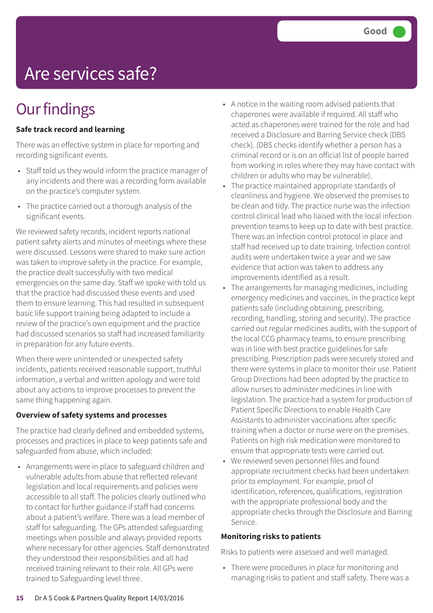# Are services safe?

### **Our findings**

#### **Safe track record and learning**

There was an effective system in place for reporting and recording significant events.

- Staff told us they would inform the practice manager of any incidents and there was a recording form available on the practice's computer system.
- The practice carried out a thorough analysis of the significant events.

We reviewed safety records, incident reports national patient safety alerts and minutes of meetings where these were discussed. Lessons were shared to make sure action was taken to improve safety in the practice. For example, the practice dealt successfully with two medical emergencies on the same day. Staff we spoke with told us that the practice had discussed these events and used them to ensure learning. This had resulted in subsequent basic life support training being adapted to include a review of the practice's own equipment and the practice had discussed scenarios so staff had increased familiarity in preparation for any future events.

When there were unintended or unexpected safety incidents, patients received reasonable support, truthful information, a verbal and written apology and were told about any actions to improve processes to prevent the same thing happening again.

#### **Overview of safety systems and processes**

The practice had clearly defined and embedded systems, processes and practices in place to keep patients safe and safeguarded from abuse, which included:

• Arrangements were in place to safeguard children and vulnerable adults from abuse that reflected relevant legislation and local requirements and policies were accessible to all staff. The policies clearly outlined who to contact for further guidance if staff had concerns about a patient's welfare. There was a lead member of staff for safeguarding. The GPs attended safeguarding meetings when possible and always provided reports where necessary for other agencies. Staff demonstrated they understood their responsibilities and all had received training relevant to their role. All GPs were trained to Safeguarding level three.

- A notice in the waiting room advised patients that chaperones were available if required. All staff who acted as chaperones were trained for the role and had received a Disclosure and Barring Service check (DBS check). (DBS checks identify whether a person has a criminal record or is on an official list of people barred from working in roles where they may have contact with children or adults who may be vulnerable).
- The practice maintained appropriate standards of cleanliness and hygiene. We observed the premises to be clean and tidy. The practice nurse was the infection control clinical lead who liaised with the local infection prevention teams to keep up to date with best practice. There was an infection control protocol in place and staff had received up to date training. Infection control audits were undertaken twice a year and we saw evidence that action was taken to address any improvements identified as a result.
- The arrangements for managing medicines, including emergency medicines and vaccines, in the practice kept patients safe (including obtaining, prescribing, recording, handling, storing and security). The practice carried out regular medicines audits, with the support of the local CCG pharmacy teams, to ensure prescribing was in line with best practice guidelines for safe prescribing. Prescription pads were securely stored and there were systems in place to monitor their use. Patient Group Directions had been adopted by the practice to allow nurses to administer medicines in line with legislation. The practice had a system for production of Patient Specific Directions to enable Health Care Assistants to administer vaccinations after specific training when a doctor or nurse were on the premises. Patients on high risk medication were monitored to ensure that appropriate tests were carried out.
- We reviewed seven personnel files and found appropriate recruitment checks had been undertaken prior to employment. For example, proof of identification, references, qualifications, registration with the appropriate professional body and the appropriate checks through the Disclosure and Barring Service.

#### **Monitoring risks to patients**

Risks to patients were assessed and well managed.

• There were procedures in place for monitoring and managing risks to patient and staff safety. There was a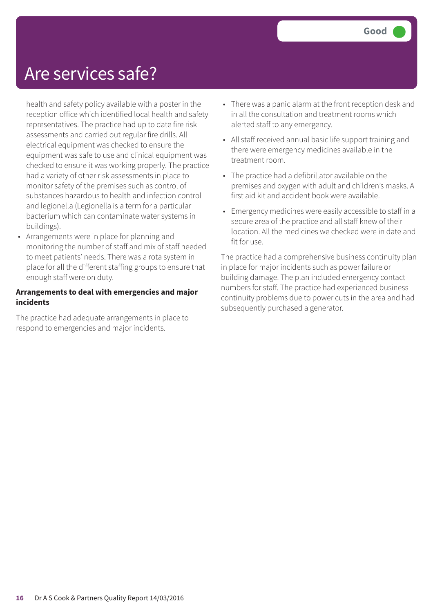### Are services safe?

health and safety policy available with a poster in the reception office which identified local health and safety representatives. The practice had up to date fire risk assessments and carried out regular fire drills. All electrical equipment was checked to ensure the equipment was safe to use and clinical equipment was checked to ensure it was working properly. The practice had a variety of other risk assessments in place to monitor safety of the premises such as control of substances hazardous to health and infection control and legionella (Legionella is a term for a particular bacterium which can contaminate water systems in buildings).

• Arrangements were in place for planning and monitoring the number of staff and mix of staff needed to meet patients' needs. There was a rota system in place for all the different staffing groups to ensure that enough staff were on duty.

#### **Arrangements to deal with emergencies and major incidents**

The practice had adequate arrangements in place to respond to emergencies and major incidents.

- There was a panic alarm at the front reception desk and in all the consultation and treatment rooms which alerted staff to any emergency.
- All staff received annual basic life support training and there were emergency medicines available in the treatment room.
- The practice had a defibrillator available on the premises and oxygen with adult and children's masks. A first aid kit and accident book were available.
- Emergency medicines were easily accessible to staff in a secure area of the practice and all staff knew of their location. All the medicines we checked were in date and fit for use.

The practice had a comprehensive business continuity plan in place for major incidents such as power failure or building damage. The plan included emergency contact numbers for staff. The practice had experienced business continuity problems due to power cuts in the area and had subsequently purchased a generator.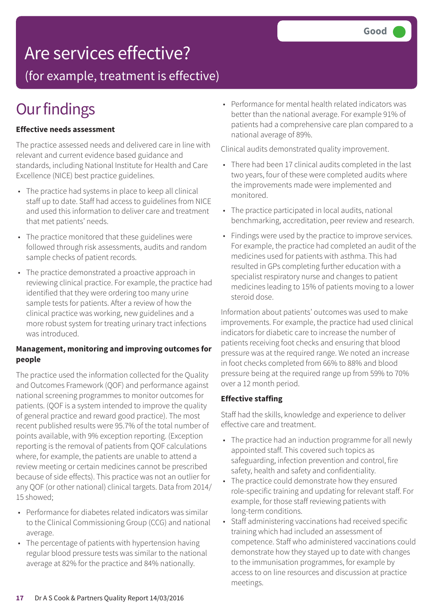### Are services effective?

(for example, treatment is effective)

### **Our findings**

#### **Effective needs assessment**

The practice assessed needs and delivered care in line with relevant and current evidence based guidance and standards, including National Institute for Health and Care Excellence (NICE) best practice guidelines.

- The practice had systems in place to keep all clinical staff up to date. Staff had access to guidelines from NICE and used this information to deliver care and treatment that met patients' needs.
- The practice monitored that these guidelines were followed through risk assessments, audits and random sample checks of patient records.
- The practice demonstrated a proactive approach in reviewing clinical practice. For example, the practice had identified that they were ordering too many urine sample tests for patients. After a review of how the clinical practice was working, new guidelines and a more robust system for treating urinary tract infections was introduced.

#### **Management, monitoring and improving outcomes for people**

The practice used the information collected for the Quality and Outcomes Framework (QOF) and performance against national screening programmes to monitor outcomes for patients. (QOF is a system intended to improve the quality of general practice and reward good practice). The most recent published results were 95.7% of the total number of points available, with 9% exception reporting. (Exception reporting is the removal of patients from QOF calculations where, for example, the patients are unable to attend a review meeting or certain medicines cannot be prescribed because of side effects). This practice was not an outlier for any QOF (or other national) clinical targets. Data from 2014/ 15 showed;

- Performance for diabetes related indicators was similar to the Clinical Commissioning Group (CCG) and national average.
- The percentage of patients with hypertension having regular blood pressure tests was similar to the national average at 82% for the practice and 84% nationally.

• Performance for mental health related indicators was better than the national average. For example 91% of patients had a comprehensive care plan compared to a national average of 89%.

Clinical audits demonstrated quality improvement.

- There had been 17 clinical audits completed in the last two years, four of these were completed audits where the improvements made were implemented and monitored.
- The practice participated in local audits, national benchmarking, accreditation, peer review and research.
- Findings were used by the practice to improve services. For example, the practice had completed an audit of the medicines used for patients with asthma. This had resulted in GPs completing further education with a specialist respiratory nurse and changes to patient medicines leading to 15% of patients moving to a lower steroid dose.

Information about patients' outcomes was used to make improvements. For example, the practice had used clinical indicators for diabetic care to increase the number of patients receiving foot checks and ensuring that blood pressure was at the required range. We noted an increase in foot checks completed from 66% to 88% and blood pressure being at the required range up from 59% to 70% over a 12 month period.

#### **Effective staffing**

Staff had the skills, knowledge and experience to deliver effective care and treatment.

- The practice had an induction programme for all newly appointed staff. This covered such topics as safeguarding, infection prevention and control, fire safety, health and safety and confidentiality.
- The practice could demonstrate how they ensured role-specific training and updating for relevant staff. For example, for those staff reviewing patients with long-term conditions.
- Staff administering vaccinations had received specific training which had included an assessment of competence. Staff who administered vaccinations could demonstrate how they stayed up to date with changes to the immunisation programmes, for example by access to on line resources and discussion at practice meetings.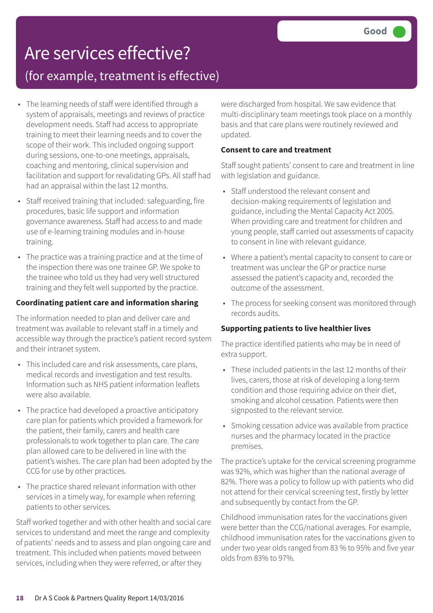# Are services effective?

### (for example, treatment is effective)

- The learning needs of staff were identified through a system of appraisals, meetings and reviews of practice development needs. Staff had access to appropriate training to meet their learning needs and to cover the scope of their work. This included ongoing support during sessions, one-to-one meetings, appraisals, coaching and mentoring, clinical supervision and facilitation and support for revalidating GPs. All staff had had an appraisal within the last 12 months.
- Staff received training that included: safeguarding, fire procedures, basic life support and information governance awareness. Staff had access to and made use of e-learning training modules and in-house training.
- The practice was a training practice and at the time of the inspection there was one trainee GP. We spoke to the trainee who told us they had very well structured training and they felt well supported by the practice.

#### **Coordinating patient care and information sharing**

The information needed to plan and deliver care and treatment was available to relevant staff in a timely and accessible way through the practice's patient record system and their intranet system.

- This included care and risk assessments, care plans, medical records and investigation and test results. Information such as NHS patient information leaflets were also available.
- The practice had developed a proactive anticipatory care plan for patients which provided a framework for the patient, their family, carers and health care professionals to work together to plan care. The care plan allowed care to be delivered in line with the patient's wishes. The care plan had been adopted by the CCG for use by other practices.
- The practice shared relevant information with other services in a timely way, for example when referring patients to other services.

Staff worked together and with other health and social care services to understand and meet the range and complexity of patients' needs and to assess and plan ongoing care and treatment. This included when patients moved between services, including when they were referred, or after they

were discharged from hospital. We saw evidence that multi-disciplinary team meetings took place on a monthly basis and that care plans were routinely reviewed and updated.

#### **Consent to care and treatment**

Staff sought patients' consent to care and treatment in line with legislation and guidance.

- Staff understood the relevant consent and decision-making requirements of legislation and guidance, including the Mental Capacity Act 2005. When providing care and treatment for children and young people, staff carried out assessments of capacity to consent in line with relevant guidance.
- Where a patient's mental capacity to consent to care or treatment was unclear the GP or practice nurse assessed the patient's capacity and, recorded the outcome of the assessment.
- The process for seeking consent was monitored through records audits.

#### **Supporting patients to live healthier lives**

The practice identified patients who may be in need of extra support.

- These included patients in the last 12 months of their lives, carers, those at risk of developing a long-term condition and those requiring advice on their diet, smoking and alcohol cessation. Patients were then signposted to the relevant service.
- Smoking cessation advice was available from practice nurses and the pharmacy located in the practice premises.

The practice's uptake for the cervical screening programme was 92%, which was higher than the national average of 82%. There was a policy to follow up with patients who did not attend for their cervical screening test, firstly by letter and subsequently by contact from the GP.

Childhood immunisation rates for the vaccinations given were better than the CCG/national averages. For example, childhood immunisation rates for the vaccinations given to under two year olds ranged from 83 % to 95% and five year olds from 83% to 97%.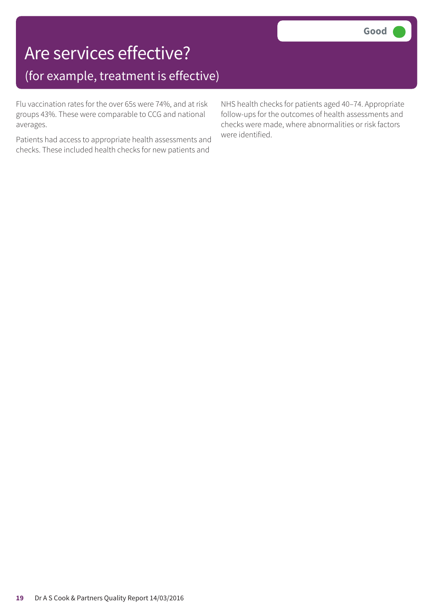### Are services effective? (for example, treatment is effective)

Flu vaccination rates for the over 65s were 74%, and at risk groups 43%. These were comparable to CCG and national averages.

Patients had access to appropriate health assessments and checks. These included health checks for new patients and

NHS health checks for patients aged 40–74. Appropriate follow-ups for the outcomes of health assessments and checks were made, where abnormalities or risk factors were identified.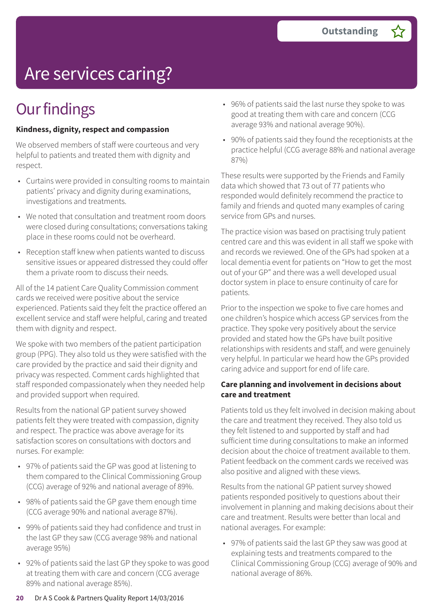# Are services caring?

### **Our findings**

#### **Kindness, dignity, respect and compassion**

We observed members of staff were courteous and very helpful to patients and treated them with dignity and respect.

- Curtains were provided in consulting rooms to maintain patients' privacy and dignity during examinations, investigations and treatments.
- We noted that consultation and treatment room doors were closed during consultations; conversations taking place in these rooms could not be overheard.
- Reception staff knew when patients wanted to discuss sensitive issues or appeared distressed they could offer them a private room to discuss their needs.

All of the 14 patient Care Quality Commission comment cards we received were positive about the service experienced. Patients said they felt the practice offered an excellent service and staff were helpful, caring and treated them with dignity and respect.

We spoke with two members of the patient participation group (PPG). They also told us they were satisfied with the care provided by the practice and said their dignity and privacy was respected. Comment cards highlighted that staff responded compassionately when they needed help and provided support when required.

Results from the national GP patient survey showed patients felt they were treated with compassion, dignity and respect. The practice was above average for its satisfaction scores on consultations with doctors and nurses. For example:

- 97% of patients said the GP was good at listening to them compared to the Clinical Commissioning Group (CCG) average of 92% and national average of 89%.
- 98% of patients said the GP gave them enough time (CCG average 90% and national average 87%).
- 99% of patients said they had confidence and trust in the last GP they saw (CCG average 98% and national average 95%)
- 92% of patients said the last GP they spoke to was good at treating them with care and concern (CCG average 89% and national average 85%).
- 96% of patients said the last nurse they spoke to was good at treating them with care and concern (CCG average 93% and national average 90%).
- 90% of patients said they found the receptionists at the practice helpful (CCG average 88% and national average 87%)

These results were supported by the Friends and Family data which showed that 73 out of 77 patients who responded would definitely recommend the practice to family and friends and quoted many examples of caring service from GPs and nurses.

The practice vision was based on practising truly patient centred care and this was evident in all staff we spoke with and records we reviewed. One of the GPs had spoken at a local dementia event for patients on "How to get the most out of your GP" and there was a well developed usual doctor system in place to ensure continuity of care for patients.

Prior to the inspection we spoke to five care homes and one children's hospice which access GP services from the practice. They spoke very positively about the service provided and stated how the GPs have built positive relationships with residents and staff, and were genuinely very helpful. In particular we heard how the GPs provided caring advice and support for end of life care.

#### **Care planning and involvement in decisions about care and treatment**

Patients told us they felt involved in decision making about the care and treatment they received. They also told us they felt listened to and supported by staff and had sufficient time during consultations to make an informed decision about the choice of treatment available to them. Patient feedback on the comment cards we received was also positive and aligned with these views.

Results from the national GP patient survey showed patients responded positively to questions about their involvement in planning and making decisions about their care and treatment. Results were better than local and national averages. For example:

• 97% of patients said the last GP they saw was good at explaining tests and treatments compared to the Clinical Commissioning Group (CCG) average of 90% and national average of 86%.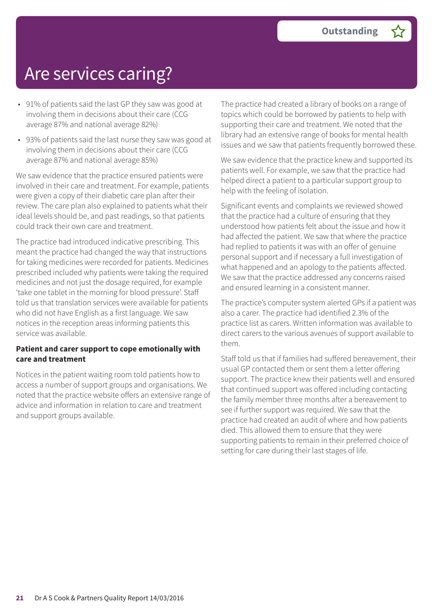### Are services caring?

- 91% of patients said the last GP they saw was good at involving them in decisions about their care (CCG average 87% and national average 82%)
- 93% of patients said the last nurse they saw was good at involving them in decisions about their care (CCG average 87% and national average 85%)

We saw evidence that the practice ensured patients were involved in their care and treatment. For example, patients were given a copy of their diabetic care plan after their review. The care plan also explained to patients what their ideal levels should be, and past readings, so that patients could track their own care and treatment.

The practice had introduced indicative prescribing. This meant the practice had changed the way that instructions for taking medicines were recorded for patients. Medicines prescribed included why patients were taking the required medicines and not just the dosage required, for example 'take one tablet in the morning for blood pressure'. Staff told us that translation services were available for patients who did not have English as a first language. We saw notices in the reception areas informing patients this service was available.

#### **Patient and carer support to cope emotionally with care and treatment**

Notices in the patient waiting room told patients how to access a number of support groups and organisations. We noted that the practice website offers an extensive range of advice and information in relation to care and treatment and support groups available.

The practice had created a library of books on a range of topics which could be borrowed by patients to help with supporting their care and treatment. We noted that the library had an extensive range of books for mental health issues and we saw that patients frequently borrowed these.

We saw evidence that the practice knew and supported its patients well. For example, we saw that the practice had helped direct a patient to a particular support group to help with the feeling of isolation.

Significant events and complaints we reviewed showed that the practice had a culture of ensuring that they understood how patients felt about the issue and how it had affected the patient. We saw that where the practice had replied to patients it was with an offer of genuine personal support and if necessary a full investigation of what happened and an apology to the patients affected. We saw that the practice addressed any concerns raised and ensured learning in a consistent manner.

The practice's computer system alerted GPs if a patient was also a carer. The practice had identified 2.3% of the practice list as carers. Written information was available to direct carers to the various avenues of support available to them.

Staff told us that if families had suffered bereavement, their usual GP contacted them or sent them a letter offering support. The practice knew their patients well and ensured that continued support was offered including contacting the family member three months after a bereavement to see if further support was required. We saw that the practice had created an audit of where and how patients died. This allowed them to ensure that they were supporting patients to remain in their preferred choice of setting for care during their last stages of life.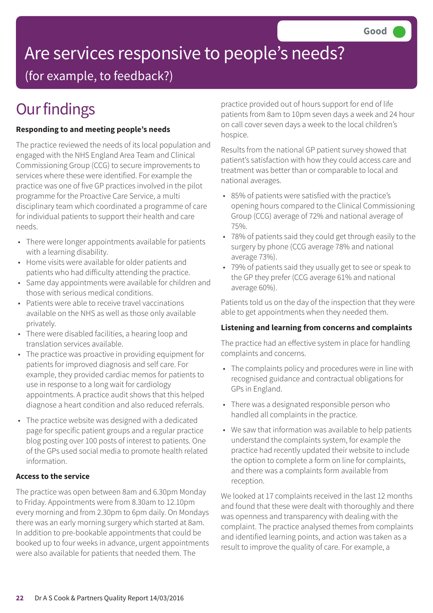# Are services responsive to people's needs?

(for example, to feedback?)

## **Our findings**

#### **Responding to and meeting people's needs**

The practice reviewed the needs of its local population and engaged with the NHS England Area Team and Clinical Commissioning Group (CCG) to secure improvements to services where these were identified. For example the practice was one of five GP practices involved in the pilot programme for the Proactive Care Service, a multi disciplinary team which coordinated a programme of care for individual patients to support their health and care needs.

- There were longer appointments available for patients with a learning disability.
- Home visits were available for older patients and patients who had difficulty attending the practice.
- Same day appointments were available for children and those with serious medical conditions.
- Patients were able to receive travel vaccinations available on the NHS as well as those only available privately.
- There were disabled facilities, a hearing loop and translation services available.
- The practice was proactive in providing equipment for patients for improved diagnosis and self care. For example, they provided cardiac memos for patients to use in response to a long wait for cardiology appointments. A practice audit shows that this helped diagnose a heart condition and also reduced referrals.
- The practice website was designed with a dedicated page for specific patient groups and a regular practice blog posting over 100 posts of interest to patients. One of the GPs used social media to promote health related information.

#### **Access to the service**

The practice was open between 8am and 6.30pm Monday to Friday. Appointments were from 8.30am to 12.10pm every morning and from 2.30pm to 6pm daily. On Mondays there was an early morning surgery which started at 8am. In addition to pre-bookable appointments that could be booked up to four weeks in advance, urgent appointments were also available for patients that needed them. The

practice provided out of hours support for end of life patients from 8am to 10pm seven days a week and 24 hour on call cover seven days a week to the local children's hospice.

Results from the national GP patient survey showed that patient's satisfaction with how they could access care and treatment was better than or comparable to local and national averages.

- 85% of patients were satisfied with the practice's opening hours compared to the Clinical Commissioning Group (CCG) average of 72% and national average of 75%.
- 78% of patients said they could get through easily to the surgery by phone (CCG average 78% and national average 73%).
- 79% of patients said they usually get to see or speak to the GP they prefer (CCG average 61% and national average 60%).

Patients told us on the day of the inspection that they were able to get appointments when they needed them.

#### **Listening and learning from concerns and complaints**

The practice had an effective system in place for handling complaints and concerns.

- The complaints policy and procedures were in line with recognised guidance and contractual obligations for GPs in England.
- There was a designated responsible person who handled all complaints in the practice.
- We saw that information was available to help patients understand the complaints system, for example the practice had recently updated their website to include the option to complete a form on line for complaints, and there was a complaints form available from reception.

We looked at 17 complaints received in the last 12 months and found that these were dealt with thoroughly and there was openness and transparency with dealing with the complaint. The practice analysed themes from complaints and identified learning points, and action was taken as a result to improve the quality of care. For example, a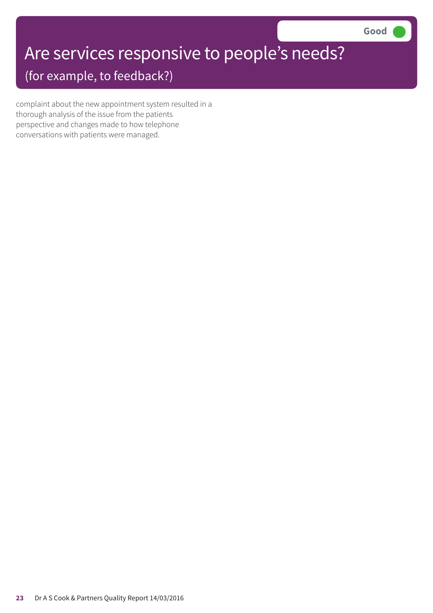# Are services responsive to people's needs?

(for example, to feedback?)

complaint about the new appointment system resulted in a thorough analysis of the issue from the patients perspective and changes made to how telephone conversations with patients were managed.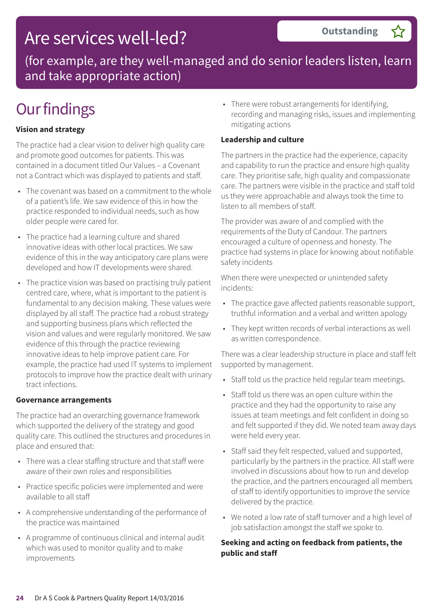### Are services well-led?

(for example, are they well-managed and do senior leaders listen, learn and take appropriate action)

### **Our findings**

#### **Vision and strategy**

The practice had a clear vision to deliver high quality care and promote good outcomes for patients. This was contained in a document titled Our Values – a Covenant not a Contract which was displayed to patients and staff.

- The covenant was based on a commitment to the whole of a patient's life. We saw evidence of this in how the practice responded to individual needs, such as how older people were cared for.
- The practice had a learning culture and shared innovative ideas with other local practices. We saw evidence of this in the way anticipatory care plans were developed and how IT developments were shared.
- The practice vision was based on practising truly patient centred care, where, what is important to the patient is fundamental to any decision making. These values were displayed by all staff. The practice had a robust strategy and supporting business plans which reflected the vision and values and were regularly monitored. We saw evidence of this through the practice reviewing innovative ideas to help improve patient care. For example, the practice had used IT systems to implement protocols to improve how the practice dealt with urinary tract infections.

#### **Governance arrangements**

The practice had an overarching governance framework which supported the delivery of the strategy and good quality care. This outlined the structures and procedures in place and ensured that:

- There was a clear staffing structure and that staff were aware of their own roles and responsibilities
- Practice specific policies were implemented and were available to all staff
- A comprehensive understanding of the performance of the practice was maintained
- A programme of continuous clinical and internal audit which was used to monitor quality and to make improvements

• There were robust arrangements for identifying, recording and managing risks, issues and implementing mitigating actions

**Outstanding –**

#### **Leadership and culture**

The partners in the practice had the experience, capacity and capability to run the practice and ensure high quality care. They prioritise safe, high quality and compassionate care. The partners were visible in the practice and staff told us they were approachable and always took the time to listen to all members of staff.

The provider was aware of and complied with the requirements of the Duty of Candour. The partners encouraged a culture of openness and honesty. The practice had systems in place for knowing about notifiable safety incidents

When there were unexpected or unintended safety incidents:

- The practice gave affected patients reasonable support, truthful information and a verbal and written apology
- They kept written records of verbal interactions as well as written correspondence.

There was a clear leadership structure in place and staff felt supported by management.

- Staff told us the practice held regular team meetings.
- Staff told us there was an open culture within the practice and they had the opportunity to raise any issues at team meetings and felt confident in doing so and felt supported if they did. We noted team away days were held every year.
- Staff said they felt respected, valued and supported, particularly by the partners in the practice. All staff were involved in discussions about how to run and develop the practice, and the partners encouraged all members of staff to identify opportunities to improve the service delivered by the practice.
- We noted a low rate of staff turnover and a high level of job satisfaction amongst the staff we spoke to.

#### **Seeking and acting on feedback from patients, the public and staff**